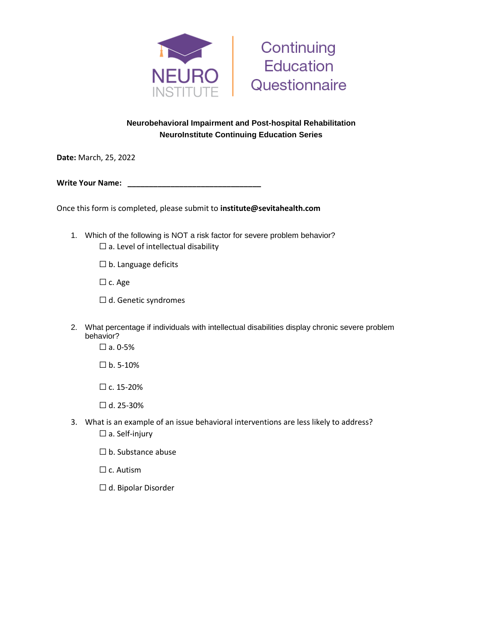



## **Neurobehavioral Impairment and Post-hospital Rehabilitation NeuroInstitute Continuing Education Series**

**Date:** March, 25, 2022

**Write Your Name:** 

Once this form is completed, please submit to **institute@sevitahealth.com**

- 1. Which of the following is NOT a risk factor for severe problem behavior?  $\square$  a. Level of intellectual disability
	- ☐ b. Language deficits
	- ☐ c. Age
	- □ d. Genetic syndromes
- 2. What percentage if individuals with intellectual disabilities display chronic severe problem behavior?
	- $\square$  a. 0-5%
	- $\square$  b. 5-10%
	- $\Box$  c. 15-20%
	- $\Box$  d. 25-30%
- 3. What is an example of an issue behavioral interventions are less likely to address?  $\square$  a. Self-injury
	- ☐ b. Substance abuse
	- □ c. Autism
	- ☐ d. Bipolar Disorder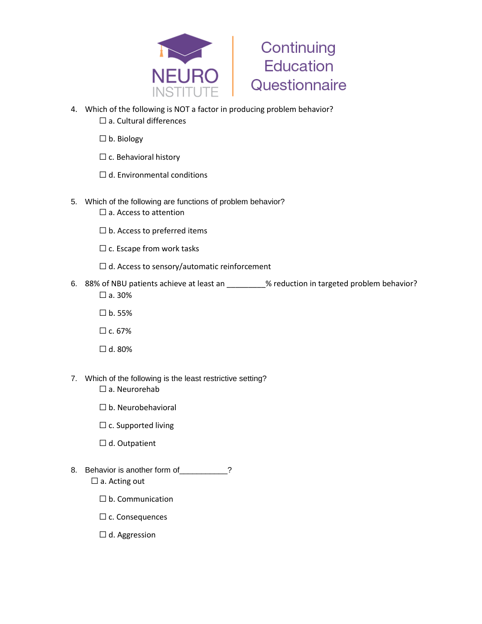



- 4. Which of the following is NOT a factor in producing problem behavior? □ a. Cultural differences
	- ☐ b. Biology
	- $\Box$  c. Behavioral history
	- $\Box$  d. Environmental conditions
- 5. Which of the following are functions of problem behavior?
	- □ a. Access to attention
	- $\Box$  b. Access to preferred items
	- $\Box$  c. Escape from work tasks
	- $\Box$  d. Access to sensory/automatic reinforcement
- 6. 88% of NBU patients achieve at least an \_\_\_\_\_\_\_\_\_% reduction in targeted problem behavior?  $\square$  a. 30%
	- ☐ b. 55%
	- $\Box$  c. 67%
	- $\Box$  d. 80%
- 7. Which of the following is the least restrictive setting?
	- □ a. Neurorehab
	- ☐ b. Neurobehavioral
	- □ c. Supported living
	- ☐ d. Outpatient
- 8. Behavior is another form of 2
	- □ a. Acting out
		- ☐ b. Communication
		- ☐ c. Consequences
		- $\Box$  d. Aggression